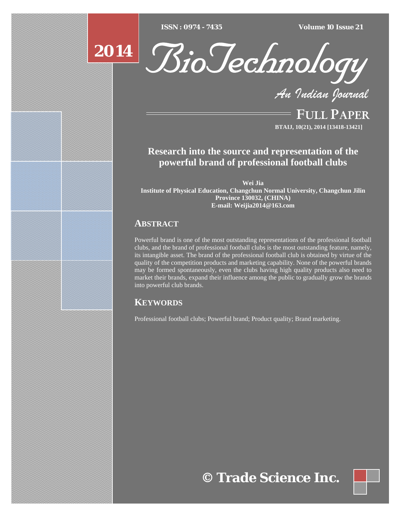$ISSN : 0974 - 7435$ 

*ISSN : 0974 - 7435 Volume 10 Issue 21*



BioTechnology

*An Indian Journal*

FULL PAPER **BTAIJ, 10(21), 2014 [13418-13421]**

**Research into the source and representation of the powerful brand of professional football clubs** 

**Wei Jia** 

**Institute of Physical Education, Changchun Normal University, Changchun Jilin Province 130032, (CHINA) E-mail: Weijia2014@163.com** 

# **ABSTRACT**

Powerful brand is one of the most outstanding representations of the professional football clubs, and the brand of professional football clubs is the most outstanding feature, namely, its intangible asset. The brand of the professional football club is obtained by virtue of the quality of the competition products and marketing capability. None of the powerful brands may be formed spontaneously, even the clubs having high quality products also need to market their brands, expand their influence among the public to gradually grow the brands into powerful club brands.

# **KEYWORDS**

Professional football clubs; Powerful brand; Product quality; Brand marketing.

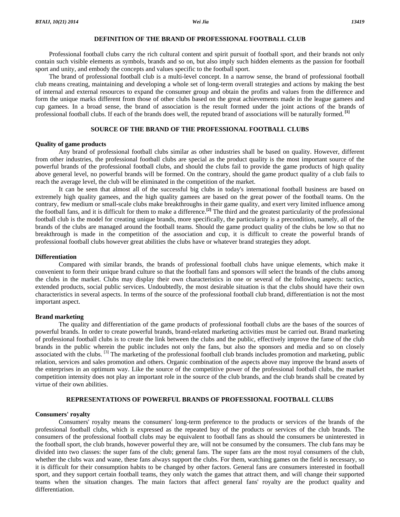## **DEFINITION OF THE BRAND OF PROFESSIONAL FOOTBALL CLUB**

Professional football clubs carry the rich cultural content and spirit pursuit of football sport, and their brands not only contain such visible elements as symbols, brands and so on, but also imply such hidden elements as the passion for football sport and unity, and embody the concepts and values specific to the football sport.

The brand of professional football club is a multi-level concept. In a narrow sense, the brand of professional football club means creating, maintaining and developing a whole set of long-term overall strategies and actions by making the best of internal and external resources to expand the consumer group and obtain the profits and values from the difference and form the unique marks different from those of other clubs based on the great achievements made in the league gamees and cup gamees. In a broad sense, the brand of association is the result formed under the joint actions of the brands of professional football clubs. If each of the brands does well, the reputed brand of associations will be naturally formed. **[1]**

## **SOURCE OF THE BRAND OF THE PROFESSIONAL FOOTBALL CLUBS**

## **Quality of game products**

Any brand of professional football clubs similar as other industries shall be based on quality. However, different from other industries, the professional football clubs are special as the product quality is the most important source of the powerful brands of the professional football clubs, and should the clubs fail to provide the game products of high quality above general level, no powerful brands will be formed. On the contrary, should the game product quality of a club fails to reach the average level, the club will be eliminated in the competition of the market.

It can be seen that almost all of the successful big clubs in today's international football business are based on extremely high quality gamees, and the high quality gamees are based on the great power of the football teams. On the contrary, few medium or small-scale clubs make breakthroughs in their game quality, and exert very limited influence among the football fans, and it is difficult for them to make a difference.**[2]** The third and the greatest particularity of the professional football club is the model for creating unique brands, more specifically, the particularity is a precondition, namely, all of the brands of the clubs are managed around the football teams. Should the game product quality of the clubs be low so that no breakthrough is made in the competition of the association and cup, it is difficult to create the powerful brands of professional football clubs however great abilities the clubs have or whatever brand strategies they adopt.

#### **Differentiation**

 Compared with similar brands, the brands of professional football clubs have unique elements, which make it convenient to form their unique brand culture so that the football fans and sponsors will select the brands of the clubs among the clubs in the market. Clubs may display their own characteristics in one or several of the following aspects: tactics, extended products, social public services. Undoubtedly, the most desirable situation is that the clubs should have their own characteristics in several aspects. In terms of the source of the professional football club brand, differentiation is not the most important aspect.

## **Brand marketing**

 The quality and differentiation of the game products of professional football clubs are the bases of the sources of powerful brands. In order to create powerful brands, brand-related marketing activities must be carried out. Brand marketing of professional football clubs is to create the link between the clubs and the public, effectively improve the fame of the club brands in the public wherein the public includes not only the fans, but also the sponsors and media and so on closely associated with the clubs. [3] The marketing of the professional football club brands includes promotion and marketing, public relation, services and sales promotion and others. Organic combination of the aspects above may improve the brand assets of the enterprises in an optimum way. Like the source of the competitive power of the professional football clubs, the market competition intensity does not play an important role in the source of the club brands, and the club brands shall be created by virtue of their own abilities.

## **REPRESENTATIONS OF POWERFUL BRANDS OF PROFESSIONAL FOOTBALL CLUBS**

#### **Consumers' royalty**

 Consumers' royalty means the consumers' long-term preference to the products or services of the brands of the professional football clubs, which is expressed as the repeated buy of the products or services of the club brands. The consumers of the professional football clubs may be equivalent to football fans as should the consumers be uninterested in the football sport, the club brands, however powerful they are, will not be consumed by the consumers. The club fans may be divided into two classes: the super fans of the club; general fans. The super fans are the most royal consumers of the club, whether the clubs wax and wane, these fans always support the clubs. For them, watching games on the field is necessary, so it is difficult for their consumption habits to be changed by other factors. General fans are consumers interested in football sport, and they support certain football teams, they only watch the games that attract them, and will change their supported teams when the situation changes. The main factors that affect general fans' royalty are the product quality and differentiation.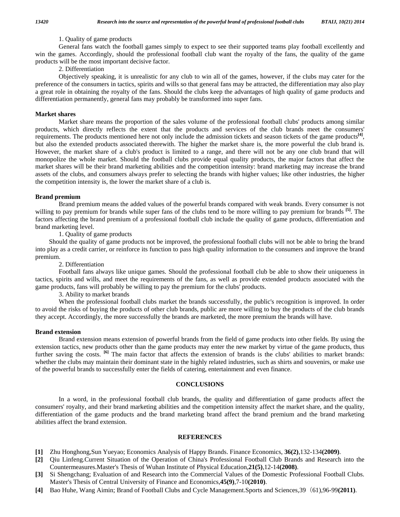## 1. Quality of game products

 General fans watch the football games simply to expect to see their supported teams play football excellently and win the games. Accordingly, should the professional football club want the royalty of the fans, the quality of the game products will be the most important decisive factor.

2. Differentiation

 Objectively speaking, it is unrealistic for any club to win all of the games, however, if the clubs may cater for the preference of the consumers in tactics, spirits and wills so that general fans may be attracted, the differentiation may also play a great role in obtaining the royalty of the fans. Should the clubs keep the advantages of high quality of game products and differentiation permanently, general fans may probably be transformed into super fans.

## **Market shares**

 Market share means the proportion of the sales volume of the professional football clubs' products among similar products, which directly reflects the extent that the products and services of the club brands meet the consumers' requirements. The products mentioned here not only include the admission tickets and season tickets of the game products**[4]**, but also the extended products associated therewith. The higher the market share is, the more powerful the club brand is. However, the market share of a club's product is limited to a range, and there will not be any one club brand that will monopolize the whole market. Should the football clubs provide equal quality products, the major factors that affect the market shares will be their brand marketing abilities and the competition intensity: brand marketing may increase the brand assets of the clubs, and consumers always prefer to selecting the brands with higher values; like other industries, the higher the competition intensity is, the lower the market share of a club is.

## **Brand premium**

 Brand premium means the added values of the powerful brands compared with weak brands. Every consumer is not willing to pay premium for brands while super fans of the clubs tend to be more willing to pay premium for brands **[5]**. The factors affecting the brand premium of a professional football club include the quality of game products, differentiation and brand marketing level.

1. Quality of game products

Should the quality of game products not be improved, the professional football clubs will not be able to bring the brand into play as a credit carrier, or reinforce its function to pass high quality information to the consumers and improve the brand premium.

## 2. Differentiation

 Football fans always like unique games. Should the professional football club be able to show their uniqueness in tactics, spirits and wills, and meet the requirements of the fans, as well as provide extended products associated with the game products, fans will probably be willing to pay the premium for the clubs' products.

3. Ability to market brands

 When the professional football clubs market the brands successfully, the public's recognition is improved. In order to avoid the risks of buying the products of other club brands, public are more willing to buy the products of the club brands they accept. Accordingly, the more successfully the brands are marketed, the more premium the brands will have.

## **Brand extension**

 Brand extension means extension of powerful brands from the field of game products into other fields. By using the extension tactics, new products other than the game products may enter the new market by virtue of the game products, thus further saving the costs. <sup>[6]</sup> The main factor that affects the extension of brands is the clubs' abilities to market brands: whether the clubs may maintain their dominant state in the highly related industries, such as shirts and souvenirs, or make use of the powerful brands to successfully enter the fields of catering, entertainment and even finance.

# **CONCLUSIONS**

 In a word, in the professional football club brands, the quality and differentiation of game products affect the consumers' royalty, and their brand marketing abilities and the competition intensity affect the market share, and the quality, differentiation of the game products and the brand marketing brand affect the brand premium and the brand marketing abilities affect the brand extension.

## **REFERENCES**

- **[1]** Zhu Honghong,Sun Yueyao; Economics Analysis of Happy Brands. Finance Economics, **36(2)**,132-134**(2009)**.
- **[2]** Qiu Linfeng.Current Situation of the Operation of China's Professional Football Club Brands and Research into the Countermeasures.Master's Thesis of Wuhan Institute of Physical Education,**21(5)**,12-14**(2008)**.
- **[3]** Si Shengchang; Evaluation of and Research into the Commercial Values of the Domestic Professional Football Clubs. Master's Thesis of Central University of Finance and Economics,**45(9)**,7-10**(2010)**.
- **[4]** Bao Huhe, Wang Aimin; Brand of Football Clubs and Cycle Management.Sports and Sciences,39(61),96-99**(2011)**.